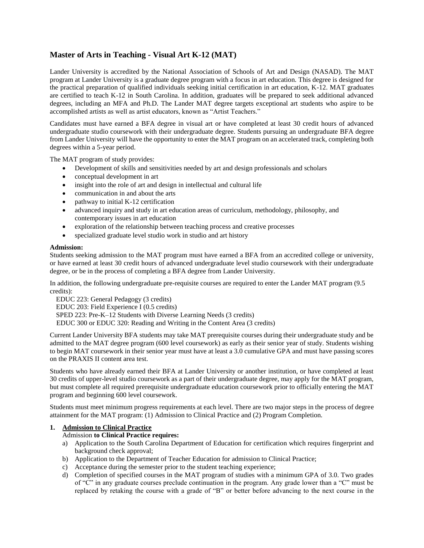# **Master of Arts in Teaching - Visual Art K-12 (MAT)**

Lander University is accredited by the National Association of Schools of Art and Design (NASAD). The MAT program at Lander University is a graduate degree program with a focus in art education. This degree is designed for the practical preparation of qualified individuals seeking initial certification in art education, K-12. MAT graduates are certified to teach K-12 in South Carolina. In addition, graduates will be prepared to seek additional advanced degrees, including an MFA and Ph.D. The Lander MAT degree targets exceptional art students who aspire to be accomplished artists as well as artist educators, known as "Artist Teachers."

Candidates must have earned a BFA degree in visual art or have completed at least 30 credit hours of advanced undergraduate studio coursework with their undergraduate degree. Students pursuing an undergraduate BFA degree from Lander University will have the opportunity to enter the MAT program on an accelerated track, completing both degrees within a 5-year period.

The MAT program of study provides:

- Development of skills and sensitivities needed by art and design professionals and scholars
- conceptual development in art
- insight into the role of art and design in intellectual and cultural life
- communication in and about the arts
- pathway to initial K-12 certification
- advanced inquiry and study in art education areas of curriculum, methodology, philosophy, and contemporary issues in art education
- exploration of the relationship between teaching process and creative processes
- specialized graduate level studio work in studio and art history

## **Admission:**

Students seeking admission to the MAT program must have earned a BFA from an accredited college or university, or have earned at least 30 credit hours of advanced undergraduate level studio coursework with their undergraduate degree, or be in the process of completing a BFA degree from Lander University.

In addition, the following undergraduate pre-requisite courses are required to enter the Lander MAT program (9.5 credits):

EDUC 223: General Pedagogy (3 credits) EDUC 203: Field Experience I (0.5 credits) SPED 223: Pre-K–12 Students with Diverse Learning Needs (3 credits) EDUC 300 or EDUC 320: Reading and Writing in the Content Area (3 credits)

Current Lander University BFA students may take MAT prerequisite courses during their undergraduate study and be admitted to the MAT degree program (600 level coursework) as early as their senior year of study. Students wishing to begin MAT coursework in their senior year must have at least a 3.0 cumulative GPA and must have passing scores on the PRAXIS II content area test.

Students who have already earned their BFA at Lander University or another institution, or have completed at least 30 credits of upper-level studio coursework as a part of their undergraduate degree, may apply for the MAT program, but must complete all required prerequisite undergraduate education coursework prior to officially entering the MAT program and beginning 600 level coursework.

Students must meet minimum progress requirements at each level. There are two major steps in the process of degree attainment for the MAT program: (1) Admission to Clinical Practice and (2) Program Completion.

## **1. Admission to Clinical Practice**

## Admission **to Clinical Practice requires:**

- a) Application to the South Carolina Department of Education for certification which requires fingerprint and background check approval;
- b) Application to the Department of Teacher Education for admission to Clinical Practice;
- c) Acceptance during the semester prior to the student teaching experience;
- d) Completion of specified courses in the MAT program of studies with a minimum GPA of 3.0. Two grades of "C" in any graduate courses preclude continuation in the program. Any grade lower than a "C" must be replaced by retaking the course with a grade of "B" or better before advancing to the next course in the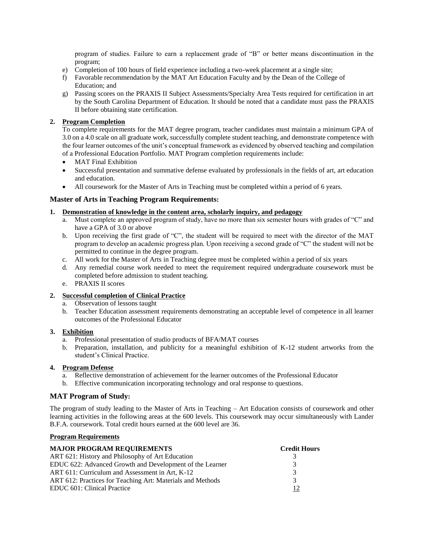program of studies. Failure to earn a replacement grade of "B" or better means discontinuation in the program;

- e) Completion of 100 hours of field experience including a two-week placement at a single site;
- f) Favorable recommendation by the MAT Art Education Faculty and by the Dean of the College of Education; and
- g) Passing scores on the PRAXIS II Subject Assessments/Specialty Area Tests required for certification in art by the South Carolina Department of Education. It should be noted that a candidate must pass the PRAXIS II before obtaining state certification.

# **2. Program Completion**

To complete requirements for the MAT degree program, teacher candidates must maintain a minimum GPA of 3.0 on a 4.0 scale on all graduate work, successfully complete student teaching, and demonstrate competence with the four learner outcomes of the unit's conceptual framework as evidenced by observed teaching and compilation of a Professional Education Portfolio. MAT Program completion requirements include:

- MAT Final Exhibition
- Successful presentation and summative defense evaluated by professionals in the fields of art, art education and education.
- All coursework for the Master of Arts in Teaching must be completed within a period of 6 years.

# **Master of Arts in Teaching Program Requirements:**

## **1. Demonstration of knowledge in the content area, scholarly inquiry, and pedagogy**

- a. Must complete an approved program of study, have no more than six semester hours with grades of "C" and have a GPA of 3.0 or above
- b. Upon receiving the first grade of "C", the student will be required to meet with the director of the MAT program to develop an academic progress plan. Upon receiving a second grade of "C" the student will not be permitted to continue in the degree program.
- c. All work for the Master of Arts in Teaching degree must be completed within a period of six years
- d. Any remedial course work needed to meet the requirement required undergraduate coursework must be completed before admission to student teaching.
- e. PRAXIS II scores

# **2. Successful completion of Clinical Practice**

- a. Observation of lessons taught
- b. Teacher Education assessment requirements demonstrating an acceptable level of competence in all learner outcomes of the Professional Educator

## **3. Exhibition**

- a. Professional presentation of studio products of BFA/MAT courses
- b. Preparation, installation, and publicity for a meaningful exhibition of K-12 student artworks from the student's Clinical Practice.

## **4. Program Defense**

- a. Reflective demonstration of achievement for the learner outcomes of the Professional Educator
- b. Effective communication incorporating technology and oral response to questions.

# **MAT Program of Study:**

The program of study leading to the Master of Arts in Teaching – Art Education consists of coursework and other learning activities in the following areas at the 600 levels. This coursework may occur simultaneously with Lander B.F.A. coursework. Total credit hours earned at the 600 level are 36.

## **Program Requirements**

| <b>MAJOR PROGRAM REQUIREMENTS</b>                          | <b>Credit Hours</b> |
|------------------------------------------------------------|---------------------|
| ART 621: History and Philosophy of Art Education           |                     |
| EDUC 622: Advanced Growth and Development of the Learner   | 3                   |
| ART 611: Curriculum and Assessment in Art. K-12            | $\mathcal{R}$       |
| ART 612: Practices for Teaching Art: Materials and Methods | 3                   |
| EDUC 601: Clinical Practice                                | 12                  |